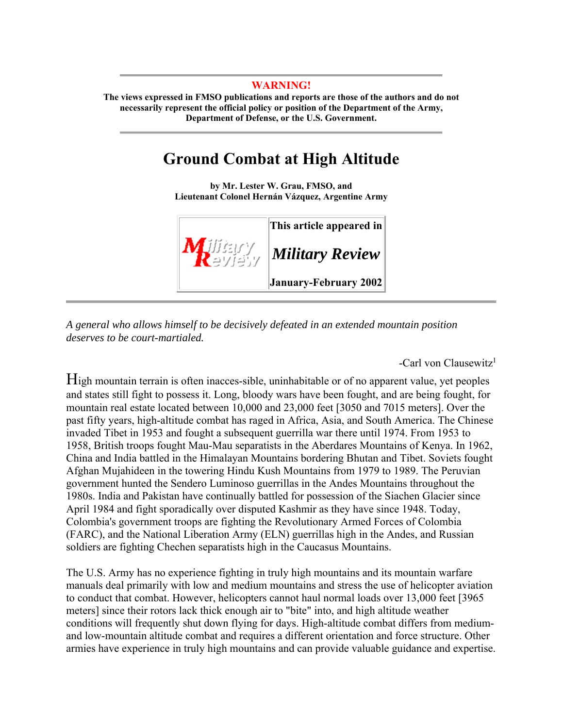#### **WARNING!**

**The views expressed in FMSO publications and reports are those of the authors and do not necessarily represent the official policy or position of the Department of the Army, Department of Defense, or the U.S. Government.** 

# **Ground Combat at High Altitude**

**by Mr. Lester W. Grau, FMSO, and Lieutenant Colonel Hernán Vázquez, Argentine Army** 



*A general who allows himself to be decisively defeated in an extended mountain position deserves to be court-martialed.*

-Carl von Clausewitz<sup>1</sup>

High mountain terrain is often inacces-sible, uninhabitable or of no apparent value, yet peoples and states still fight to possess it. Long, bloody wars have been fought, and are being fought, for mountain real estate located between 10,000 and 23,000 feet [3050 and 7015 meters]. Over the past fifty years, high-altitude combat has raged in Africa, Asia, and South America. The Chinese invaded Tibet in 1953 and fought a subsequent guerrilla war there until 1974. From 1953 to 1958, British troops fought Mau-Mau separatists in the Aberdares Mountains of Kenya. In 1962, China and India battled in the Himalayan Mountains bordering Bhutan and Tibet. Soviets fought Afghan Mujahideen in the towering Hindu Kush Mountains from 1979 to 1989. The Peruvian government hunted the Sendero Luminoso guerrillas in the Andes Mountains throughout the 1980s. India and Pakistan have continually battled for possession of the Siachen Glacier since April 1984 and fight sporadically over disputed Kashmir as they have since 1948. Today, Colombia's government troops are fighting the Revolutionary Armed Forces of Colombia (FARC), and the National Liberation Army (ELN) guerrillas high in the Andes, and Russian soldiers are fighting Chechen separatists high in the Caucasus Mountains.

The U.S. Army has no experience fighting in truly high mountains and its mountain warfare manuals deal primarily with low and medium mountains and stress the use of helicopter aviation to conduct that combat. However, helicopters cannot haul normal loads over 13,000 feet [3965 meters] since their rotors lack thick enough air to "bite" into, and high altitude weather conditions will frequently shut down flying for days. High-altitude combat differs from mediumand low-mountain altitude combat and requires a different orientation and force structure. Other armies have experience in truly high mountains and can provide valuable guidance and expertise.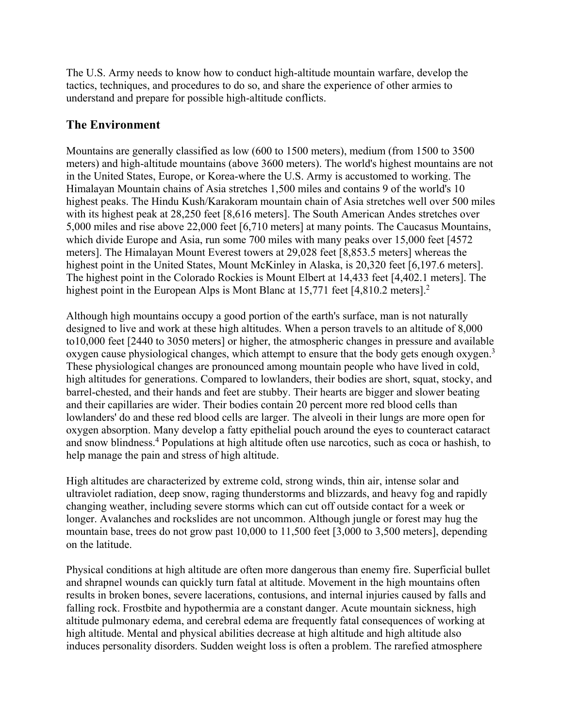The U.S. Army needs to know how to conduct high-altitude mountain warfare, develop the tactics, techniques, and procedures to do so, and share the experience of other armies to understand and prepare for possible high-altitude conflicts.

## **The Environment**

Mountains are generally classified as low (600 to 1500 meters), medium (from 1500 to 3500 meters) and high-altitude mountains (above 3600 meters). The world's highest mountains are not in the United States, Europe, or Korea-where the U.S. Army is accustomed to working. The Himalayan Mountain chains of Asia stretches 1,500 miles and contains 9 of the world's 10 highest peaks. The Hindu Kush/Karakoram mountain chain of Asia stretches well over 500 miles with its highest peak at 28,250 feet [8,616 meters]. The South American Andes stretches over 5,000 miles and rise above 22,000 feet [6,710 meters] at many points. The Caucasus Mountains, which divide Europe and Asia, run some 700 miles with many peaks over 15,000 feet [4572 meters]. The Himalayan Mount Everest towers at 29,028 feet [8,853.5 meters] whereas the highest point in the United States, Mount McKinley in Alaska, is 20,320 feet [6,197.6 meters]. The highest point in the Colorado Rockies is Mount Elbert at 14,433 feet [4,402.1 meters]. The highest point in the European Alps is Mont Blanc at 15,771 feet [4,810.2 meters].<sup>2</sup>

Although high mountains occupy a good portion of the earth's surface, man is not naturally designed to live and work at these high altitudes. When a person travels to an altitude of 8,000 to10,000 feet [2440 to 3050 meters] or higher, the atmospheric changes in pressure and available oxygen cause physiological changes, which attempt to ensure that the body gets enough oxygen.<sup>3</sup> These physiological changes are pronounced among mountain people who have lived in cold, high altitudes for generations. Compared to lowlanders, their bodies are short, squat, stocky, and barrel-chested, and their hands and feet are stubby. Their hearts are bigger and slower beating and their capillaries are wider. Their bodies contain 20 percent more red blood cells than lowlanders' do and these red blood cells are larger. The alveoli in their lungs are more open for oxygen absorption. Many develop a fatty epithelial pouch around the eyes to counteract cataract and snow blindness.<sup>4</sup> Populations at high altitude often use narcotics, such as coca or hashish, to help manage the pain and stress of high altitude.

High altitudes are characterized by extreme cold, strong winds, thin air, intense solar and ultraviolet radiation, deep snow, raging thunderstorms and blizzards, and heavy fog and rapidly changing weather, including severe storms which can cut off outside contact for a week or longer. Avalanches and rockslides are not uncommon. Although jungle or forest may hug the mountain base, trees do not grow past 10,000 to 11,500 feet [3,000 to 3,500 meters], depending on the latitude.

Physical conditions at high altitude are often more dangerous than enemy fire. Superficial bullet and shrapnel wounds can quickly turn fatal at altitude. Movement in the high mountains often results in broken bones, severe lacerations, contusions, and internal injuries caused by falls and falling rock. Frostbite and hypothermia are a constant danger. Acute mountain sickness, high altitude pulmonary edema, and cerebral edema are frequently fatal consequences of working at high altitude. Mental and physical abilities decrease at high altitude and high altitude also induces personality disorders. Sudden weight loss is often a problem. The rarefied atmosphere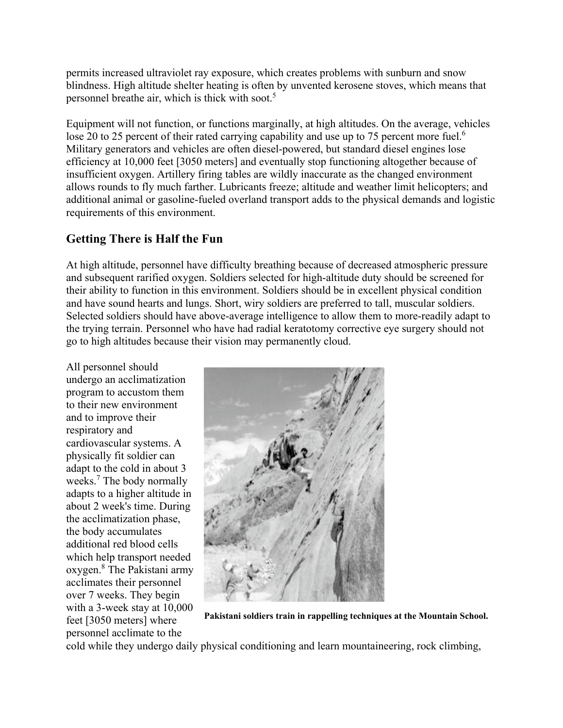permits increased ultraviolet ray exposure, which creates problems with sunburn and snow blindness. High altitude shelter heating is often by unvented kerosene stoves, which means that personnel breathe air, which is thick with soot.<sup>5</sup>

Equipment will not function, or functions marginally, at high altitudes. On the average, vehicles lose 20 to 25 percent of their rated carrying capability and use up to 75 percent more fuel.<sup>6</sup> Military generators and vehicles are often diesel-powered, but standard diesel engines lose efficiency at 10,000 feet [3050 meters] and eventually stop functioning altogether because of insufficient oxygen. Artillery firing tables are wildly inaccurate as the changed environment allows rounds to fly much farther. Lubricants freeze; altitude and weather limit helicopters; and additional animal or gasoline-fueled overland transport adds to the physical demands and logistic requirements of this environment.

## **Getting There is Half the Fun**

At high altitude, personnel have difficulty breathing because of decreased atmospheric pressure and subsequent rarified oxygen. Soldiers selected for high-altitude duty should be screened for their ability to function in this environment. Soldiers should be in excellent physical condition and have sound hearts and lungs. Short, wiry soldiers are preferred to tall, muscular soldiers. Selected soldiers should have above-average intelligence to allow them to more-readily adapt to the trying terrain. Personnel who have had radial keratotomy corrective eye surgery should not go to high altitudes because their vision may permanently cloud.

All personnel should undergo an acclimatization program to accustom them to their new environment and to improve their respiratory and cardiovascular systems. A physically fit soldier can adapt to the cold in about 3 weeks.7 The body normally adapts to a higher altitude in about 2 week's time. During the acclimatization phase, the body accumulates additional red blood cells which help transport needed oxygen.8 The Pakistani army acclimates their personnel over 7 weeks. They begin with a 3-week stay at 10,000 feet [3050 meters] where personnel acclimate to the



**Pakistani soldiers train in rappelling techniques at the Mountain School.** 

cold while they undergo daily physical conditioning and learn mountaineering, rock climbing,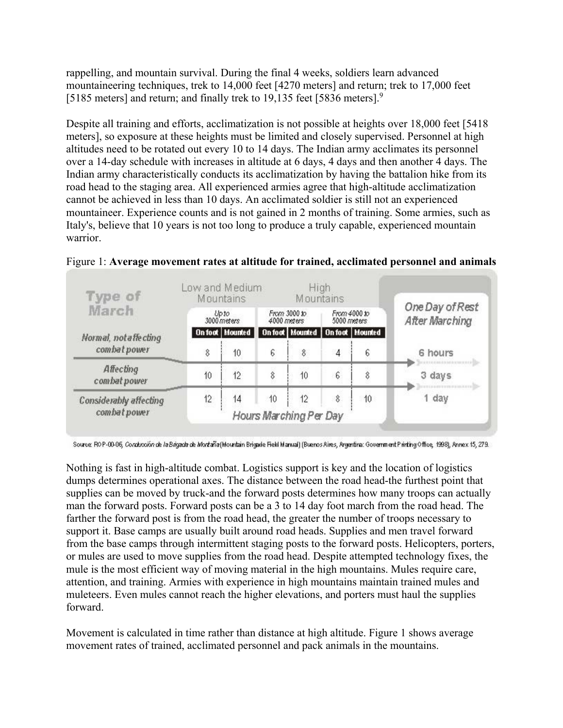rappelling, and mountain survival. During the final 4 weeks, soldiers learn advanced mountaineering techniques, trek to 14,000 feet [4270 meters] and return; trek to 17,000 feet [5185 meters] and return; and finally trek to 19,135 feet [5836 meters]. $9$ 

Despite all training and efforts, acclimatization is not possible at heights over 18,000 feet [5418 meters], so exposure at these heights must be limited and closely supervised. Personnel at high altitudes need to be rotated out every 10 to 14 days. The Indian army acclimates its personnel over a 14-day schedule with increases in altitude at 6 days, 4 days and then another 4 days. The Indian army characteristically conducts its acclimatization by having the battalion hike from its road head to the staging area. All experienced armies agree that high-altitude acclimatization cannot be achieved in less than 10 days. An acclimated soldier is still not an experienced mountaineer. Experience counts and is not gained in 2 months of training. Some armies, such as Italy's, believe that 10 years is not too long to produce a truly capable, experienced mountain warrior.

| Type of                                       | Low and Medium<br>High<br>Mountains<br><b>Mountains</b> |                        |                             |                                       |                             |    |                                   |         |
|-----------------------------------------------|---------------------------------------------------------|------------------------|-----------------------------|---------------------------------------|-----------------------------|----|-----------------------------------|---------|
| March                                         | Up to<br>3000 meters                                    |                        | From 3000 to<br>4000 meters |                                       | From 4000 to<br>5000 meters |    | One Day of Rest<br>After Marching |         |
| Normal, not affecting                         |                                                         | <b>On foot</b> Mounted |                             | On foot   Mounted   On foot   Mounted |                             |    |                                   |         |
| combat power                                  | 8                                                       | 10                     | 6                           | 8                                     | 4                           | 6  |                                   | 6 hours |
| Affecting<br>combat power                     | 10                                                      | 12                     | 8                           | 10                                    | 6                           | 8  |                                   | 3 days  |
| <b>Considerably affecting</b><br>combat power | 12                                                      | 14                     | 10                          | 12<br>Hours Marching Per Day          | 8                           | 10 |                                   | 1 day   |

Figure 1: **Average movement rates at altitude for trained, acclimated personnel and animals**

Source: ROP-00-06, Constreción de la Brigada de Mortaña (Mountain Brigade Field Manual) (Buenos Aires, Argentina: Government Printing Office, 1998), Annex 15, 279.

Nothing is fast in high-altitude combat. Logistics support is key and the location of logistics dumps determines operational axes. The distance between the road head-the furthest point that supplies can be moved by truck-and the forward posts determines how many troops can actually man the forward posts. Forward posts can be a 3 to 14 day foot march from the road head. The farther the forward post is from the road head, the greater the number of troops necessary to support it. Base camps are usually built around road heads. Supplies and men travel forward from the base camps through intermittent staging posts to the forward posts. Helicopters, porters, or mules are used to move supplies from the road head. Despite attempted technology fixes, the mule is the most efficient way of moving material in the high mountains. Mules require care, attention, and training. Armies with experience in high mountains maintain trained mules and muleteers. Even mules cannot reach the higher elevations, and porters must haul the supplies forward.

Movement is calculated in time rather than distance at high altitude. Figure 1 shows average movement rates of trained, acclimated personnel and pack animals in the mountains.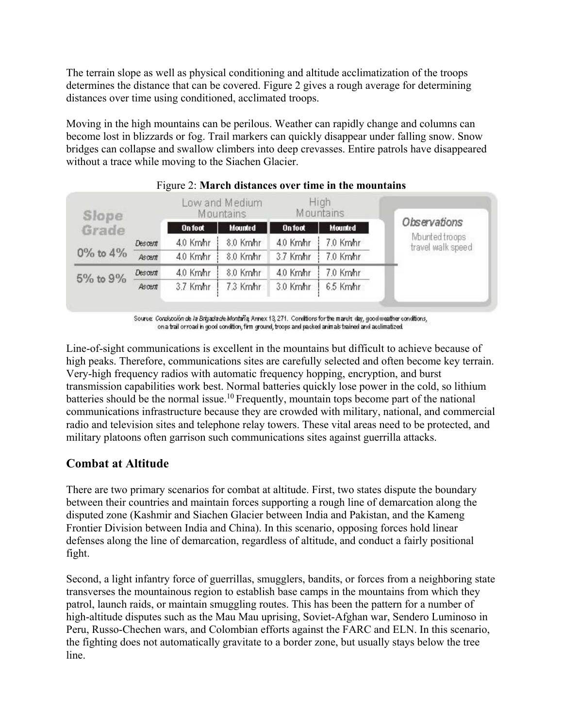The terrain slope as well as physical conditioning and altitude acclimatization of the troops determines the distance that can be covered. Figure 2 gives a rough average for determining distances over time using conditioned, acclimated troops.

Moving in the high mountains can be perilous. Weather can rapidly change and columns can become lost in blizzards or fog. Trail markers can quickly disappear under falling snow. Snow bridges can collapse and swallow climbers into deep crevasses. Entire patrols have disappeared without a trace while moving to the Siachen Glacier.

| Slope          |                | Low and Medium<br>Mountains |                |                | High<br>Mountains |                                     |
|----------------|----------------|-----------------------------|----------------|----------------|-------------------|-------------------------------------|
| Grade          |                | On foot                     | <b>Mounted</b> | <b>On foot</b> | <b>Mounted</b>    | Observations                        |
|                | <b>Descent</b> | 4.0 Km/hr                   | 8.0 Km/hr      | 4.0 Km/hr      | 7.0 Km/hr         | Mounted troops<br>travel walk speed |
| $0\%$ to $4\%$ | Ascent         | 4.0 Km/hr                   | 8.0 Kmhr       | 3.7 Kmhr       | 7.0 Kmhr          |                                     |
|                | <b>Descent</b> | 4.0 Km/hr                   | 8.0 Km/hr      | 4.0 Km/hr      | 7.0 Km/hr         |                                     |
| 5% to 9%       | Ascent         | 3.7 Km/hr                   | 7.3 Km/hr      | 3.0 Km/hr      | 6.5 Km/hr         |                                     |

#### Figure 2: **March distances over time in the mountains**

Source: Conducción de la Brigada de Montaña, Annex 13, 271. Conditions for the march: day, good weather conditions, on a trail orroad in good condition, firm ground, troops and packed animals trained and acclimatized.

Line-of-sight communications is excellent in the mountains but difficult to achieve because of high peaks. Therefore, communications sites are carefully selected and often become key terrain. Very-high frequency radios with automatic frequency hopping, encryption, and burst transmission capabilities work best. Normal batteries quickly lose power in the cold, so lithium batteries should be the normal issue.10 Frequently, mountain tops become part of the national communications infrastructure because they are crowded with military, national, and commercial radio and television sites and telephone relay towers. These vital areas need to be protected, and military platoons often garrison such communications sites against guerrilla attacks.

## **Combat at Altitude**

There are two primary scenarios for combat at altitude. First, two states dispute the boundary between their countries and maintain forces supporting a rough line of demarcation along the disputed zone (Kashmir and Siachen Glacier between India and Pakistan, and the Kameng Frontier Division between India and China). In this scenario, opposing forces hold linear defenses along the line of demarcation, regardless of altitude, and conduct a fairly positional fight.

Second, a light infantry force of guerrillas, smugglers, bandits, or forces from a neighboring state transverses the mountainous region to establish base camps in the mountains from which they patrol, launch raids, or maintain smuggling routes. This has been the pattern for a number of high-altitude disputes such as the Mau Mau uprising, Soviet-Afghan war, Sendero Luminoso in Peru, Russo-Chechen wars, and Colombian efforts against the FARC and ELN. In this scenario, the fighting does not automatically gravitate to a border zone, but usually stays below the tree line.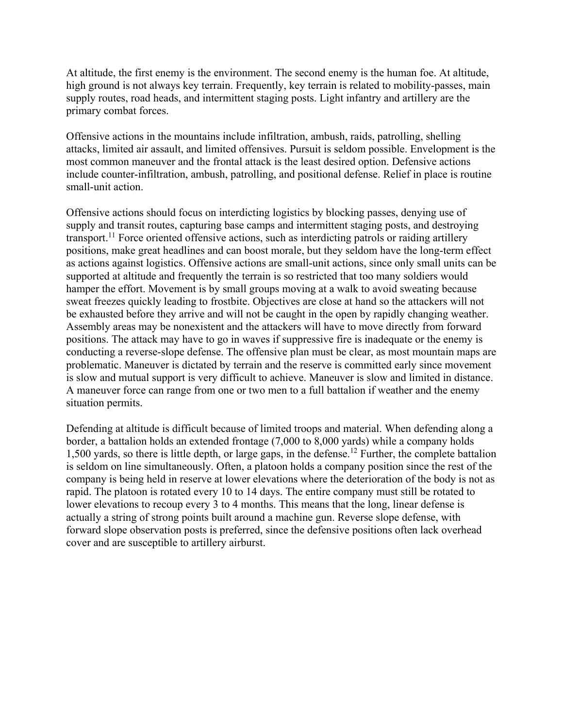At altitude, the first enemy is the environment. The second enemy is the human foe. At altitude, high ground is not always key terrain. Frequently, key terrain is related to mobility-passes, main supply routes, road heads, and intermittent staging posts. Light infantry and artillery are the primary combat forces.

Offensive actions in the mountains include infiltration, ambush, raids, patrolling, shelling attacks, limited air assault, and limited offensives. Pursuit is seldom possible. Envelopment is the most common maneuver and the frontal attack is the least desired option. Defensive actions include counter-infiltration, ambush, patrolling, and positional defense. Relief in place is routine small-unit action.

Offensive actions should focus on interdicting logistics by blocking passes, denying use of supply and transit routes, capturing base camps and intermittent staging posts, and destroying transport.<sup>11</sup> Force oriented offensive actions, such as interdicting patrols or raiding artillery positions, make great headlines and can boost morale, but they seldom have the long-term effect as actions against logistics. Offensive actions are small-unit actions, since only small units can be supported at altitude and frequently the terrain is so restricted that too many soldiers would hamper the effort. Movement is by small groups moving at a walk to avoid sweating because sweat freezes quickly leading to frostbite. Objectives are close at hand so the attackers will not be exhausted before they arrive and will not be caught in the open by rapidly changing weather. Assembly areas may be nonexistent and the attackers will have to move directly from forward positions. The attack may have to go in waves if suppressive fire is inadequate or the enemy is conducting a reverse-slope defense. The offensive plan must be clear, as most mountain maps are problematic. Maneuver is dictated by terrain and the reserve is committed early since movement is slow and mutual support is very difficult to achieve. Maneuver is slow and limited in distance. A maneuver force can range from one or two men to a full battalion if weather and the enemy situation permits.

Defending at altitude is difficult because of limited troops and material. When defending along a border, a battalion holds an extended frontage (7,000 to 8,000 yards) while a company holds 1,500 yards, so there is little depth, or large gaps, in the defense.12 Further, the complete battalion is seldom on line simultaneously. Often, a platoon holds a company position since the rest of the company is being held in reserve at lower elevations where the deterioration of the body is not as rapid. The platoon is rotated every 10 to 14 days. The entire company must still be rotated to lower elevations to recoup every 3 to 4 months. This means that the long, linear defense is actually a string of strong points built around a machine gun. Reverse slope defense, with forward slope observation posts is preferred, since the defensive positions often lack overhead cover and are susceptible to artillery airburst.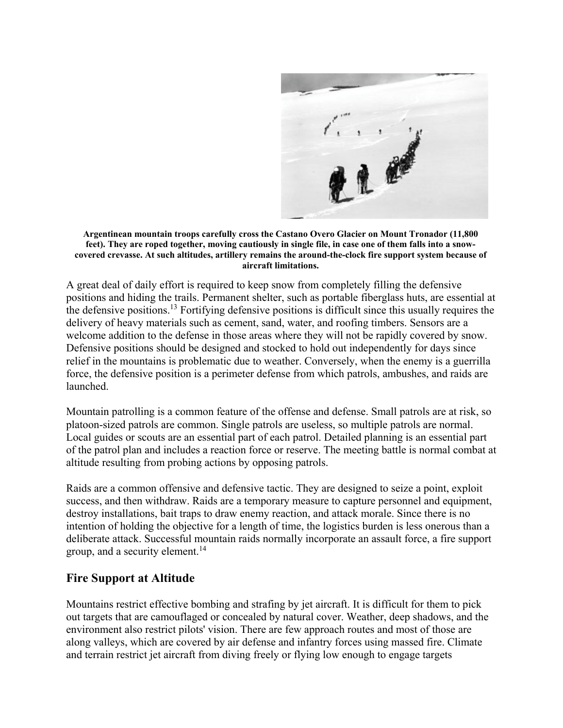

**Argentinean mountain troops carefully cross the Castano Overo Glacier on Mount Tronador (11,800 feet). They are roped together, moving cautiously in single file, in case one of them falls into a snowcovered crevasse. At such altitudes, artillery remains the around-the-clock fire support system because of aircraft limitations.**

A great deal of daily effort is required to keep snow from completely filling the defensive positions and hiding the trails. Permanent shelter, such as portable fiberglass huts, are essential at the defensive positions.13 Fortifying defensive positions is difficult since this usually requires the delivery of heavy materials such as cement, sand, water, and roofing timbers. Sensors are a welcome addition to the defense in those areas where they will not be rapidly covered by snow. Defensive positions should be designed and stocked to hold out independently for days since relief in the mountains is problematic due to weather. Conversely, when the enemy is a guerrilla force, the defensive position is a perimeter defense from which patrols, ambushes, and raids are launched.

Mountain patrolling is a common feature of the offense and defense. Small patrols are at risk, so platoon-sized patrols are common. Single patrols are useless, so multiple patrols are normal. Local guides or scouts are an essential part of each patrol. Detailed planning is an essential part of the patrol plan and includes a reaction force or reserve. The meeting battle is normal combat at altitude resulting from probing actions by opposing patrols.

Raids are a common offensive and defensive tactic. They are designed to seize a point, exploit success, and then withdraw. Raids are a temporary measure to capture personnel and equipment, destroy installations, bait traps to draw enemy reaction, and attack morale. Since there is no intention of holding the objective for a length of time, the logistics burden is less onerous than a deliberate attack. Successful mountain raids normally incorporate an assault force, a fire support group, and a security element.<sup>14</sup>

## **Fire Support at Altitude**

Mountains restrict effective bombing and strafing by jet aircraft. It is difficult for them to pick out targets that are camouflaged or concealed by natural cover. Weather, deep shadows, and the environment also restrict pilots' vision. There are few approach routes and most of those are along valleys, which are covered by air defense and infantry forces using massed fire. Climate and terrain restrict jet aircraft from diving freely or flying low enough to engage targets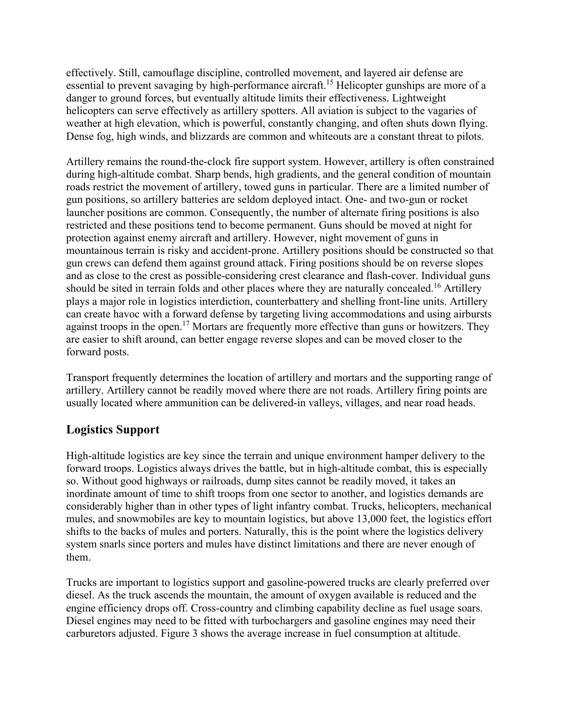effectively. Still, camouflage discipline, controlled movement, and layered air defense are essential to prevent savaging by high-performance aircraft.<sup>15</sup> Helicopter gunships are more of a danger to ground forces, but eventually altitude limits their effectiveness. Lightweight helicopters can serve effectively as artillery spotters. All aviation is subject to the vagaries of weather at high elevation, which is powerful, constantly changing, and often shuts down flying. Dense fog, high winds, and blizzards are common and whiteouts are a constant threat to pilots.

Artillery remains the round-the-clock fire support system. However, artillery is often constrained during high-altitude combat. Sharp bends, high gradients, and the general condition of mountain roads restrict the movement of artillery, towed guns in particular. There are a limited number of gun positions, so artillery batteries are seldom deployed intact. One- and two-gun or rocket launcher positions are common. Consequently, the number of alternate firing positions is also restricted and these positions tend to become permanent. Guns should be moved at night for protection against enemy aircraft and artillery. However, night movement of guns in mountainous terrain is risky and accident-prone. Artillery positions should be constructed so that gun crews can defend them against ground attack. Firing positions should be on reverse slopes and as close to the crest as possible-considering crest clearance and flash-cover. Individual guns should be sited in terrain folds and other places where they are naturally concealed.<sup>16</sup> Artillery plays a major role in logistics interdiction, counterbattery and shelling front-line units. Artillery can create havoc with a forward defense by targeting living accommodations and using airbursts against troops in the open.<sup>17</sup> Mortars are frequently more effective than guns or howitzers. They are easier to shift around, can better engage reverse slopes and can be moved closer to the forward posts.

Transport frequently determines the location of artillery and mortars and the supporting range of artillery. Artillery cannot be readily moved where there are not roads. Artillery firing points are usually located where ammunition can be delivered-in valleys, villages, and near road heads.

## **Logistics Support**

High-altitude logistics are key since the terrain and unique environment hamper delivery to the forward troops. Logistics always drives the battle, but in high-altitude combat, this is especially so. Without good highways or railroads, dump sites cannot be readily moved, it takes an inordinate amount of time to shift troops from one sector to another, and logistics demands are considerably higher than in other types of light infantry combat. Trucks, helicopters, mechanical mules, and snowmobiles are key to mountain logistics, but above 13,000 feet, the logistics effort shifts to the backs of mules and porters. Naturally, this is the point where the logistics delivery system snarls since porters and mules have distinct limitations and there are never enough of them.

Trucks are important to logistics support and gasoline-powered trucks are clearly preferred over diesel. As the truck ascends the mountain, the amount of oxygen available is reduced and the engine efficiency drops off. Cross-country and climbing capability decline as fuel usage soars. Diesel engines may need to be fitted with turbochargers and gasoline engines may need their carburetors adjusted. Figure 3 shows the average increase in fuel consumption at altitude.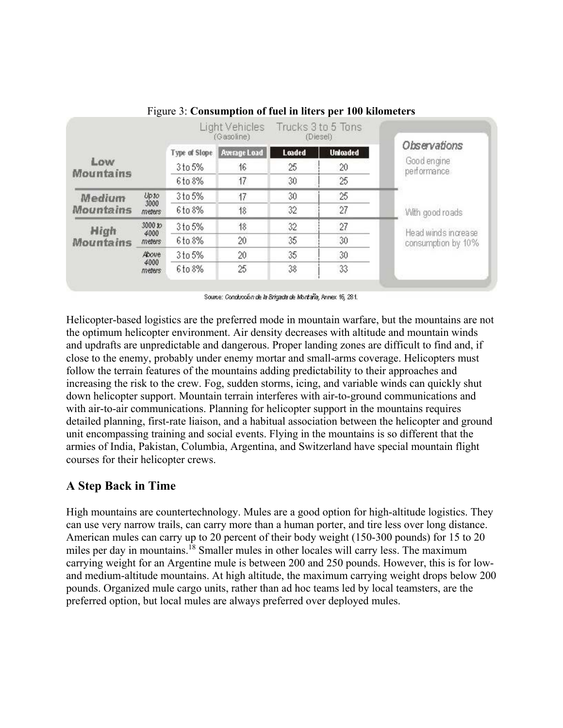|                                                                       |                |               | Light Vehicles<br>(Gasoline) |               | Trucks 3 to 5 Tons<br>(Diesel) |                            |  |  |
|-----------------------------------------------------------------------|----------------|---------------|------------------------------|---------------|--------------------------------|----------------------------|--|--|
|                                                                       |                | Type of Slope | Average Load                 | <b>Loaded</b> | <b>Unicaded</b>                | Observations               |  |  |
| Low                                                                   |                | 3 to 5%       | 16                           | 25            | 20                             | Good engine<br>performance |  |  |
| <b>Mountains</b>                                                      |                | 6to 8%        | 17                           | 30            | 25                             |                            |  |  |
| <b>Medium</b>                                                         | Upto           | 3 to 5%       | 17                           | 30            | 25                             |                            |  |  |
| <b>Mountains</b>                                                      | 3000<br>meters | 6to 8%        | 18                           | 32            | 27                             | With good roads            |  |  |
| High<br>4000<br><b>Mountains</b><br>meters<br>Above<br>4000<br>meters | 3000 to        | 3 to 5%       | 18                           | 32            | 27                             | Head winds increase        |  |  |
|                                                                       |                | 6to 8%        | 20                           | 35            | 30                             | consumption by 10%         |  |  |
|                                                                       |                | 3 to 5%       | 20 <sub>1</sub>              | 35            | 30                             |                            |  |  |
|                                                                       |                | 6to 8%        | 25                           | 38            | 33                             |                            |  |  |

Figure 3: **Consumption of fuel in liters per 100 kilometers**

Source: Conducción de la Brigada de Montaña, Annex 16, 281.

Helicopter-based logistics are the preferred mode in mountain warfare, but the mountains are not the optimum helicopter environment. Air density decreases with altitude and mountain winds and updrafts are unpredictable and dangerous. Proper landing zones are difficult to find and, if close to the enemy, probably under enemy mortar and small-arms coverage. Helicopters must follow the terrain features of the mountains adding predictability to their approaches and increasing the risk to the crew. Fog, sudden storms, icing, and variable winds can quickly shut down helicopter support. Mountain terrain interferes with air-to-ground communications and with air-to-air communications. Planning for helicopter support in the mountains requires detailed planning, first-rate liaison, and a habitual association between the helicopter and ground unit encompassing training and social events. Flying in the mountains is so different that the armies of India, Pakistan, Columbia, Argentina, and Switzerland have special mountain flight courses for their helicopter crews.

## **A Step Back in Time**

High mountains are countertechnology. Mules are a good option for high-altitude logistics. They can use very narrow trails, can carry more than a human porter, and tire less over long distance. American mules can carry up to 20 percent of their body weight (150-300 pounds) for 15 to 20 miles per day in mountains.<sup>18</sup> Smaller mules in other locales will carry less. The maximum carrying weight for an Argentine mule is between 200 and 250 pounds. However, this is for lowand medium-altitude mountains. At high altitude, the maximum carrying weight drops below 200 pounds. Organized mule cargo units, rather than ad hoc teams led by local teamsters, are the preferred option, but local mules are always preferred over deployed mules.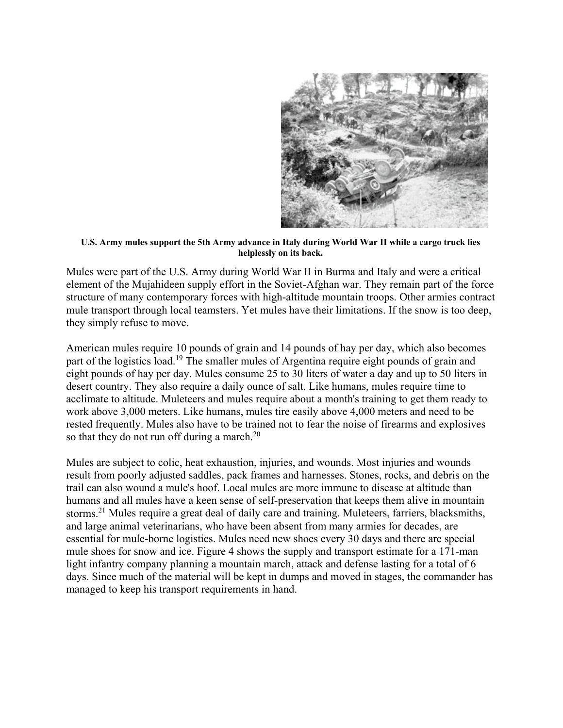

**U.S. Army mules support the 5th Army advance in Italy during World War II while a cargo truck lies helplessly on its back.** 

Mules were part of the U.S. Army during World War II in Burma and Italy and were a critical element of the Mujahideen supply effort in the Soviet-Afghan war. They remain part of the force structure of many contemporary forces with high-altitude mountain troops. Other armies contract mule transport through local teamsters. Yet mules have their limitations. If the snow is too deep, they simply refuse to move.

American mules require 10 pounds of grain and 14 pounds of hay per day, which also becomes part of the logistics load.<sup>19</sup> The smaller mules of Argentina require eight pounds of grain and eight pounds of hay per day. Mules consume 25 to 30 liters of water a day and up to 50 liters in desert country. They also require a daily ounce of salt. Like humans, mules require time to acclimate to altitude. Muleteers and mules require about a month's training to get them ready to work above 3,000 meters. Like humans, mules tire easily above 4,000 meters and need to be rested frequently. Mules also have to be trained not to fear the noise of firearms and explosives so that they do not run off during a march. $^{20}$ 

Mules are subject to colic, heat exhaustion, injuries, and wounds. Most injuries and wounds result from poorly adjusted saddles, pack frames and harnesses. Stones, rocks, and debris on the trail can also wound a mule's hoof. Local mules are more immune to disease at altitude than humans and all mules have a keen sense of self-preservation that keeps them alive in mountain storms.<sup>21</sup> Mules require a great deal of daily care and training. Muleteers, farriers, blacksmiths, and large animal veterinarians, who have been absent from many armies for decades, are essential for mule-borne logistics. Mules need new shoes every 30 days and there are special mule shoes for snow and ice. Figure 4 shows the supply and transport estimate for a 171-man light infantry company planning a mountain march, attack and defense lasting for a total of 6 days. Since much of the material will be kept in dumps and moved in stages, the commander has managed to keep his transport requirements in hand.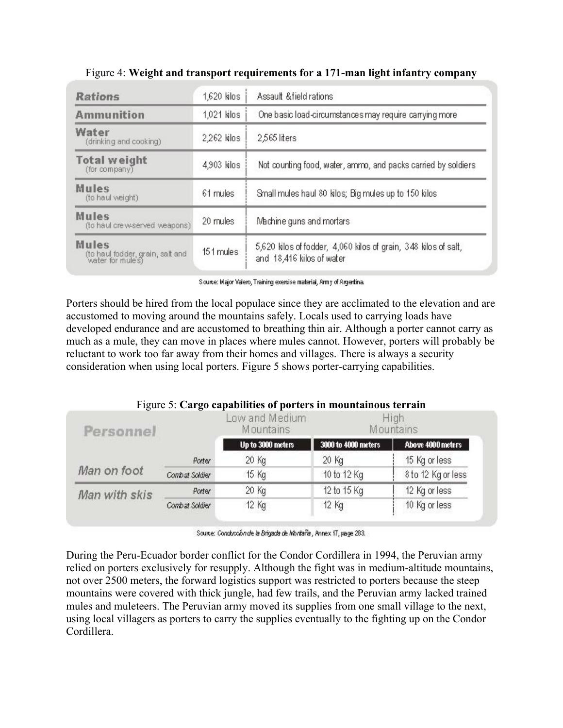| <b>Rations</b>                                                       | $1,620$ kilos | Assault & field rations                                                                      |  |  |  |  |
|----------------------------------------------------------------------|---------------|----------------------------------------------------------------------------------------------|--|--|--|--|
| Ammunition<br>$1,021$ kilos                                          |               | One basic load-circumstances may require carrying more                                       |  |  |  |  |
| Water<br>(drinking and cooking)                                      | $2,262$ kilos | 2,565 liters                                                                                 |  |  |  |  |
| <b>Total weight</b><br>4,903 kilos<br>(for company)                  |               | Not counting food, water, ammo, and packs carried by soldiers                                |  |  |  |  |
| Mules<br>(to haul weight)                                            | 61 mules      | Small mules haul 80 kilos; Big mules up to 150 kilos                                         |  |  |  |  |
| <b>Mules</b><br>(to haul crew-served weapons)                        | 20 mules      | Machine guns and mortars                                                                     |  |  |  |  |
| <b>Mules</b><br>(to haul fodder, grain, salt and<br>water for mules) | 151 mules     | 5,620 kilos of fodder, 4,060 kilos of grain, 348 kilos of salt,<br>and 18,416 kilos of water |  |  |  |  |

Figure 4: **Weight and transport requirements for a 171-man light infantry company** 

Source: Major Valero, Training exercise material, Army of Argertina.

Porters should be hired from the local populace since they are acclimated to the elevation and are accustomed to moving around the mountains safely. Locals used to carrying loads have developed endurance and are accustomed to breathing thin air. Although a porter cannot carry as much as a mule, they can move in places where mules cannot. However, porters will probably be reluctant to work too far away from their homes and villages. There is always a security consideration when using local porters. Figure 5 shows porter-carrying capabilities.

|  | Figure 5: Cargo capabilities of porters in mountainous terrain |  |
|--|----------------------------------------------------------------|--|
|  |                                                                |  |

|                | Low and Medium<br>Mountains |                     | Hiah<br>Mountains  |
|----------------|-----------------------------|---------------------|--------------------|
|                | Up to 3000 meters           | 3000 to 4000 meters | Above 4000 meters  |
| Porter         | 20 Kg                       | 20 Kg               | 15 Kg or less      |
| Combat Soldier | 15 Kg                       | 10 to 12 Kg         | 8 to 12 Kg or less |
| Porter         | 20 Kg                       | 12 to 15 Kg         | 12 Kg or less      |
| Combat Soldier | 12 Kg                       | 12 Kg               | 10 Kg or less      |
|                |                             |                     |                    |

Source: Conducción de la Brigada de Montaña, Annex 17, page 283.

During the Peru-Ecuador border conflict for the Condor Cordillera in 1994, the Peruvian army relied on porters exclusively for resupply. Although the fight was in medium-altitude mountains, not over 2500 meters, the forward logistics support was restricted to porters because the steep mountains were covered with thick jungle, had few trails, and the Peruvian army lacked trained mules and muleteers. The Peruvian army moved its supplies from one small village to the next, using local villagers as porters to carry the supplies eventually to the fighting up on the Condor Cordillera.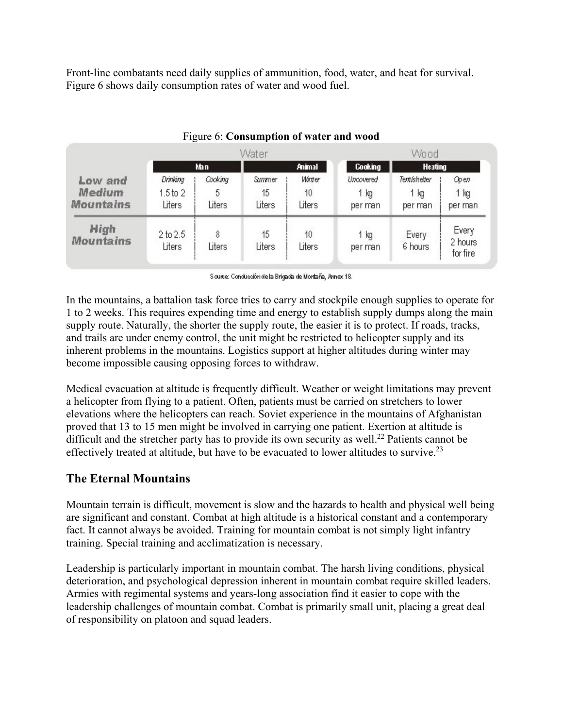Front-line combatants need daily supplies of ammunition, food, water, and heat for survival. Figure 6 shows daily consumption rates of water and wood fuel.

|                                              |                                    |                        | Water                  |                        |                              | Wood                                   |                              |
|----------------------------------------------|------------------------------------|------------------------|------------------------|------------------------|------------------------------|----------------------------------------|------------------------------|
|                                              | <b>Animal</b><br>Man               |                        |                        | <b>Cooking</b>         | <b>Heating</b>               |                                        |                              |
| Low and<br><b>Medium</b><br><b>Mountains</b> | Drinking<br>$1.5$ to $2$<br>Liters | Cooking<br>5<br>Liters | Summer<br>15<br>Liters | Winter<br>10<br>Liters | Uncovered<br>1 kg<br>per man | <b>Tent/shelter</b><br>1 kg<br>per man | Орел<br>1 kg<br>per man      |
| High<br><b>Mountains</b>                     | 2 to 2.5<br>Liters                 | 8<br>Liters            | 15<br>Liters           | 10<br>Liters           | 1 kg<br>per man              | Every<br>6 hours                       | Every<br>2 hours<br>for fire |

#### Figure 6: **Consumption of water and wood**

Source: Conducción de la Brigada de Montaña, Annex 18.

In the mountains, a battalion task force tries to carry and stockpile enough supplies to operate for 1 to 2 weeks. This requires expending time and energy to establish supply dumps along the main supply route. Naturally, the shorter the supply route, the easier it is to protect. If roads, tracks, and trails are under enemy control, the unit might be restricted to helicopter supply and its inherent problems in the mountains. Logistics support at higher altitudes during winter may become impossible causing opposing forces to withdraw.

Medical evacuation at altitude is frequently difficult. Weather or weight limitations may prevent a helicopter from flying to a patient. Often, patients must be carried on stretchers to lower elevations where the helicopters can reach. Soviet experience in the mountains of Afghanistan proved that 13 to 15 men might be involved in carrying one patient. Exertion at altitude is difficult and the stretcher party has to provide its own security as well.<sup>22</sup> Patients cannot be effectively treated at altitude, but have to be evacuated to lower altitudes to survive.<sup>23</sup>

## **The Eternal Mountains**

Mountain terrain is difficult, movement is slow and the hazards to health and physical well being are significant and constant. Combat at high altitude is a historical constant and a contemporary fact. It cannot always be avoided. Training for mountain combat is not simply light infantry training. Special training and acclimatization is necessary.

Leadership is particularly important in mountain combat. The harsh living conditions, physical deterioration, and psychological depression inherent in mountain combat require skilled leaders. Armies with regimental systems and years-long association find it easier to cope with the leadership challenges of mountain combat. Combat is primarily small unit, placing a great deal of responsibility on platoon and squad leaders.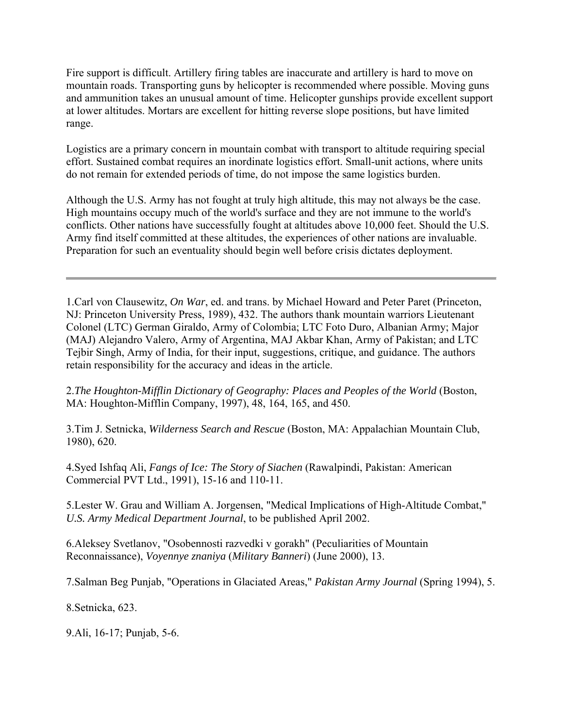Fire support is difficult. Artillery firing tables are inaccurate and artillery is hard to move on mountain roads. Transporting guns by helicopter is recommended where possible. Moving guns and ammunition takes an unusual amount of time. Helicopter gunships provide excellent support at lower altitudes. Mortars are excellent for hitting reverse slope positions, but have limited range.

Logistics are a primary concern in mountain combat with transport to altitude requiring special effort. Sustained combat requires an inordinate logistics effort. Small-unit actions, where units do not remain for extended periods of time, do not impose the same logistics burden.

Although the U.S. Army has not fought at truly high altitude, this may not always be the case. High mountains occupy much of the world's surface and they are not immune to the world's conflicts. Other nations have successfully fought at altitudes above 10,000 feet. Should the U.S. Army find itself committed at these altitudes, the experiences of other nations are invaluable. Preparation for such an eventuality should begin well before crisis dictates deployment.

1.Carl von Clausewitz, *On War*, ed. and trans. by Michael Howard and Peter Paret (Princeton, NJ: Princeton University Press, 1989), 432. The authors thank mountain warriors Lieutenant Colonel (LTC) German Giraldo, Army of Colombia; LTC Foto Duro, Albanian Army; Major (MAJ) Alejandro Valero, Army of Argentina, MAJ Akbar Khan, Army of Pakistan; and LTC Tejbir Singh, Army of India, for their input, suggestions, critique, and guidance. The authors retain responsibility for the accuracy and ideas in the article.

2.*The Houghton-Mifflin Dictionary of Geography: Places and Peoples of the World* (Boston, MA: Houghton-Mifflin Company, 1997), 48, 164, 165, and 450.

3.Tim J. Setnicka, *Wilderness Search and Rescue* (Boston, MA: Appalachian Mountain Club, 1980), 620.

4.Syed Ishfaq Ali, *Fangs of Ice: The Story of Siachen* (Rawalpindi, Pakistan: American Commercial PVT Ltd., 1991), 15-16 and 110-11.

5.Lester W. Grau and William A. Jorgensen, "Medical Implications of High-Altitude Combat," *U.S. Army Medical Department Journal*, to be published April 2002.

6.Aleksey Svetlanov, "Osobennosti razvedki v gorakh" (Peculiarities of Mountain Reconnaissance), *Voyennye znaniya* (*Military Banneri*) (June 2000), 13.

7.Salman Beg Punjab, "Operations in Glaciated Areas," *Pakistan Army Journal* (Spring 1994), 5.

8.Setnicka, 623.

9.Ali, 16-17; Punjab, 5-6.